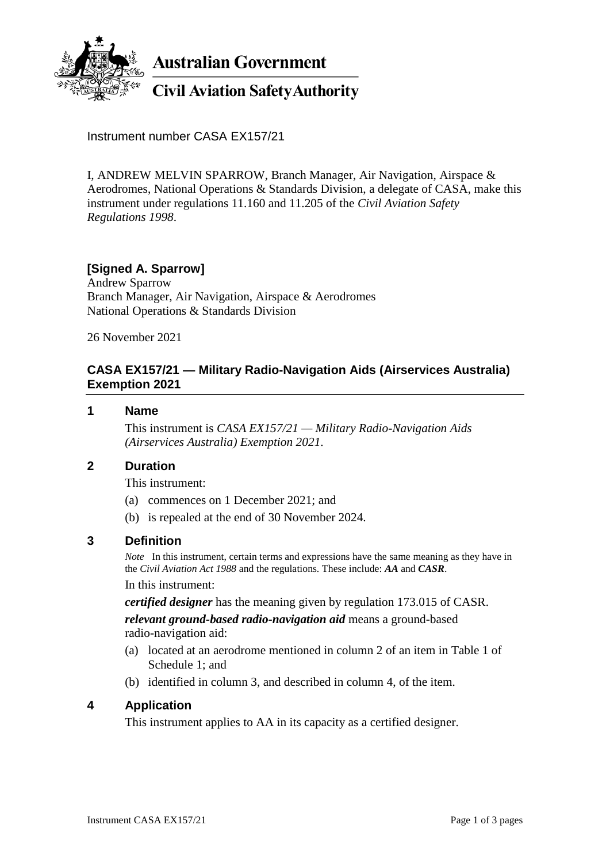

**Australian Government** 

# **Civil Aviation Safety Authority**

Instrument number CASA EX157/21

I, ANDREW MELVIN SPARROW, Branch Manager, Air Navigation, Airspace & Aerodromes, National Operations & Standards Division, a delegate of CASA, make this instrument under regulations 11.160 and 11.205 of the *Civil Aviation Safety Regulations 1998*.

## **[Signed A. Sparrow]**

Andrew Sparrow Branch Manager, Air Navigation, Airspace & Aerodromes National Operations & Standards Division

26 November 2021

## **CASA EX157/21 — Military Radio-Navigation Aids (Airservices Australia) Exemption 2021**

#### **1 Name**

This instrument is *CASA EX157/21 — Military Radio-Navigation Aids (Airservices Australia) Exemption 2021*.

## **2 Duration**

This instrument:

- (a) commences on 1 December 2021; and
- (b) is repealed at the end of 30 November 2024.

#### **3 Definition**

*Note* In this instrument, certain terms and expressions have the same meaning as they have in the *Civil Aviation Act 1988* and the regulations. These include: *AA* and *CASR*.

In this instrument:

*certified designer* has the meaning given by regulation 173.015 of CASR.

*relevant ground-based radio-navigation aid* means a ground-based radio-navigation aid:

- (a) located at an aerodrome mentioned in column 2 of an item in Table 1 of Schedule 1; and
- (b) identified in column 3, and described in column 4, of the item.

#### **4 Application**

This instrument applies to AA in its capacity as a certified designer.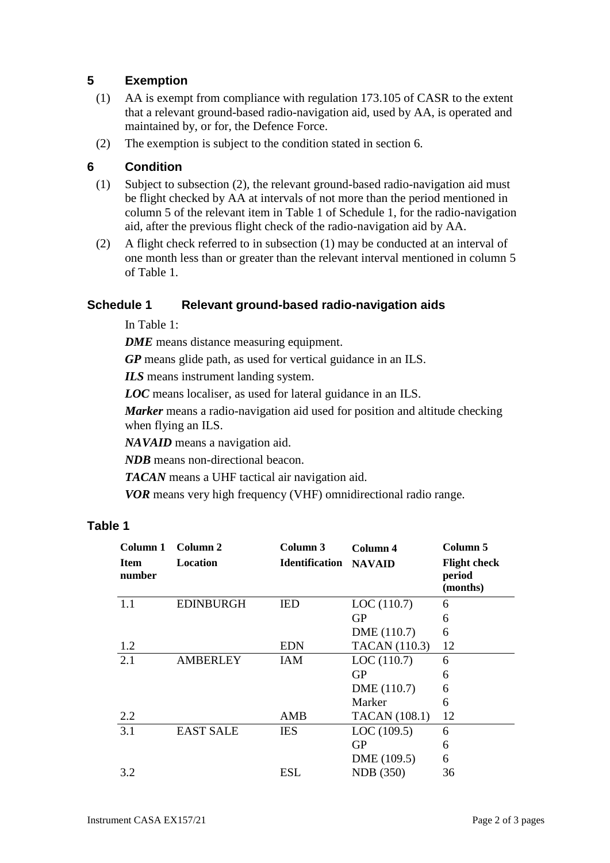## **5 Exemption**

- (1) AA is exempt from compliance with regulation 173.105 of CASR to the extent that a relevant ground-based radio-navigation aid, used by AA, is operated and maintained by, or for, the Defence Force.
- (2) The exemption is subject to the condition stated in section 6.

## **6 Condition**

- (1) Subject to subsection (2), the relevant ground-based radio-navigation aid must be flight checked by AA at intervals of not more than the period mentioned in column 5 of the relevant item in Table 1 of Schedule 1, for the radio-navigation aid, after the previous flight check of the radio-navigation aid by AA.
- (2) A flight check referred to in subsection (1) may be conducted at an interval of one month less than or greater than the relevant interval mentioned in column 5 of Table 1.

## **Schedule 1 Relevant ground-based radio-navigation aids**

In Table 1:

*DME* means distance measuring equipment.

*GP* means glide path, as used for vertical guidance in an ILS.

*ILS* means instrument landing system.

*LOC* means localiser, as used for lateral guidance in an ILS.

*Marker* means a radio-navigation aid used for position and altitude checking when flying an ILS.

*NAVAID* means a navigation aid.

*NDB* means non-directional beacon.

*TACAN* means a UHF tactical air navigation aid.

*VOR* means very high frequency (VHF) omnidirectional radio range.

## **Table 1**

| Column 1              | Column 2         | Column 3              | Column 4             | Column 5                                  |
|-----------------------|------------------|-----------------------|----------------------|-------------------------------------------|
| <b>Item</b><br>number | Location         | <b>Identification</b> | <b>NAVAID</b>        | <b>Flight check</b><br>period<br>(months) |
| 1.1                   | <b>EDINBURGH</b> | <b>IED</b>            | LOC(110.7)           | 6                                         |
|                       |                  |                       | <b>GP</b>            | 6                                         |
|                       |                  |                       | DME (110.7)          | 6                                         |
| 1.2                   |                  | <b>EDN</b>            | <b>TACAN</b> (110.3) | 12                                        |
| 2.1                   | <b>AMBERLEY</b>  | IAM                   | LOC(110.7)           | 6                                         |
|                       |                  |                       | <b>GP</b>            | 6                                         |
|                       |                  |                       | DME (110.7)          | 6                                         |
|                       |                  |                       | Marker               | 6                                         |
| 2.2                   |                  | AMB                   | <b>TACAN</b> (108.1) | 12                                        |
| 3.1                   | <b>EAST SALE</b> | <b>IES</b>            | LOC(109.5)           | 6                                         |
|                       |                  |                       | GP                   | 6                                         |
|                       |                  |                       | DME (109.5)          | 6                                         |
| 3.2                   |                  | <b>ESL</b>            | NDB (350)            | 36                                        |